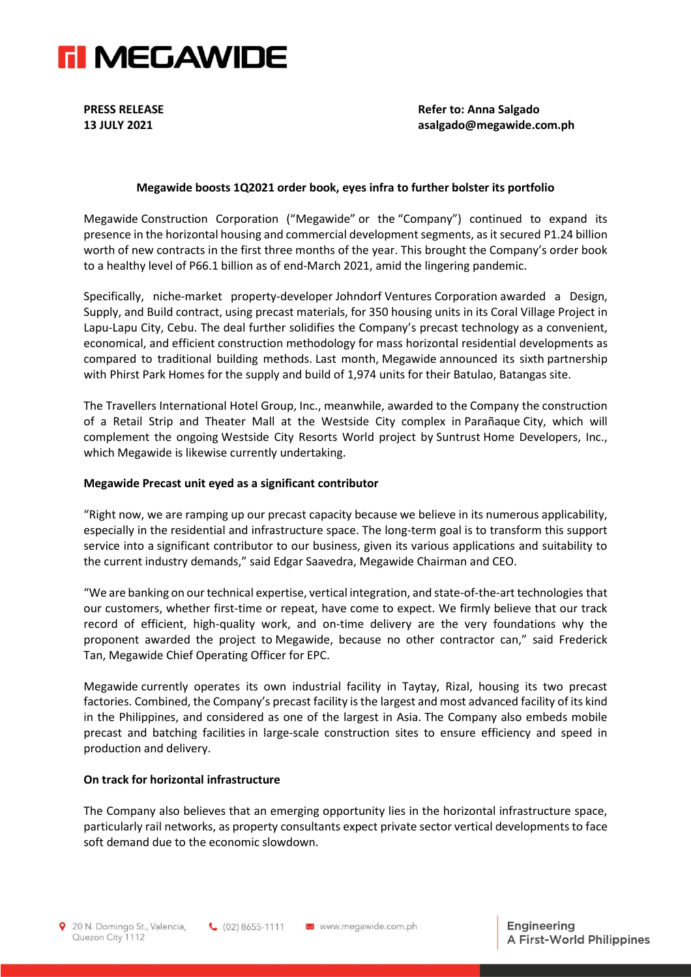

**PRESS RELEASE Refer to: Anna Salgado 13 JULY 2021 asalgado@megawide.com.ph**

## **Megawide boosts 1Q2021 order book, eyes infra to further bolster its portfolio**

Megawide Construction Corporation ("Megawide" or the "Company") continued to expand its presence in the horizontal housing and commercial development segments, as it secured P1.24 billion worth of new contracts in the first three months of the year. This brought the Company's order book to a healthy level of P66.1 billion as of end-March 2021, amid the lingering pandemic.

Specifically, niche-market property-developer Johndorf Ventures Corporation awarded a Design, Supply, and Build contract, using precast materials, for 350 housing units in its Coral Village Project in Lapu-Lapu City, Cebu. The deal further solidifies the Company's precast technology as a convenient, economical, and efficient construction methodology for mass horizontal residential developments as compared to traditional building methods. Last month, Megawide announced its sixth partnership with Phirst Park Homes for the supply and build of 1,974 units for their Batulao, Batangas site.

The Travellers International Hotel Group, Inc., meanwhile, awarded to the Company the construction of a Retail Strip and Theater Mall at the Westside City complex in Parañaque City, which will complement the ongoing Westside City Resorts World project by Suntrust Home Developers, Inc., which Megawide is likewise currently undertaking.

### **Megawide Precast unit eyed as a significant contributor**

"Right now, we are ramping up our precast capacity because we believe in its numerous applicability, especially in the residential and infrastructure space. The long-term goal is to transform this support service into a significant contributor to our business, given its various applications and suitability to the current industry demands," said Edgar Saavedra, Megawide Chairman and CEO.

"We are banking on our technical expertise, vertical integration, and state-of-the-art technologies that our customers, whether first-time or repeat, have come to expect. We firmly believe that our track record of efficient, high-quality work, and on-time delivery are the very foundations why the proponent awarded the project to Megawide, because no other contractor can," said Frederick Tan, Megawide Chief Operating Officer for EPC.

Megawide currently operates its own industrial facility in Taytay, Rizal, housing its two precast factories. Combined, the Company's precast facility is the largest and most advanced facility of its kind in the Philippines, and considered as one of the largest in Asia. The Company also embeds mobile precast and batching facilities in large-scale construction sites to ensure efficiency and speed in production and delivery.

#### **On track for horizontal infrastructure**

The Company also believes that an emerging opportunity lies in the horizontal infrastructure space, particularly rail networks, as property consultants expect private sector vertical developments to face soft demand due to the economic slowdown.